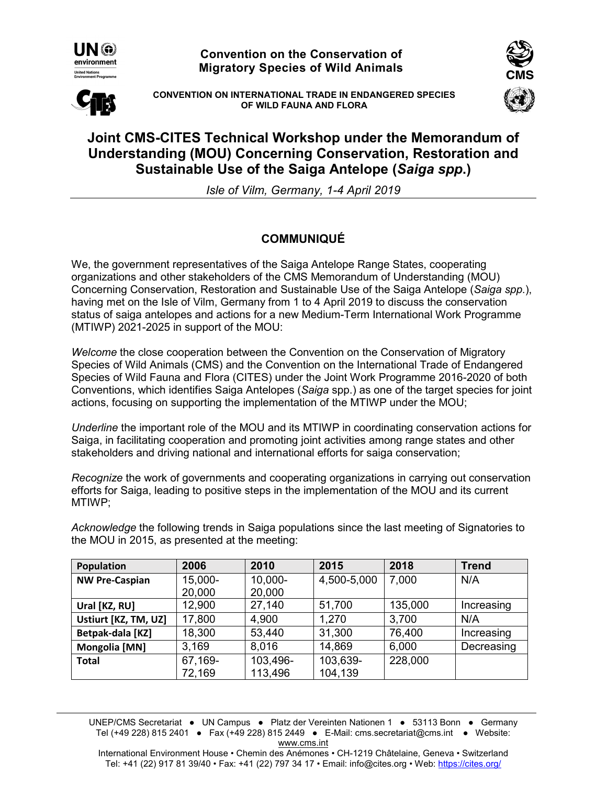

**Convention on the Conservation of Migratory Species of Wild Animals**



**CONVENTION ON INTERNATIONAL TRADE IN ENDANGERED SPECIES OF WILD FAUNA AND FLORA** 



## **Joint CMS-CITES Technical Workshop under the Memorandum of Understanding (MOU) Concerning Conservation, Restoration and Sustainable Use of the Saiga Antelope (***Saiga spp***.)**

*Isle of Vilm, Germany, 1-4 April 2019* 

## **COMMUNIQUÉ**

We, the government representatives of the Saiga Antelope Range States, cooperating organizations and other stakeholders of the CMS Memorandum of Understanding (MOU) Concerning Conservation, Restoration and Sustainable Use of the Saiga Antelope (*Saiga spp*.), having met on the Isle of Vilm, Germany from 1 to 4 April 2019 to discuss the conservation status of saiga antelopes and actions for a new Medium-Term International Work Programme (MTIWP) 2021-2025 in support of the MOU:

*Welcome* the close cooperation between the Convention on the Conservation of Migratory Species of Wild Animals (CMS) and the Convention on the International Trade of Endangered Species of Wild Fauna and Flora (CITES) under the Joint Work Programme 2016-2020 of both Conventions, which identifies Saiga Antelopes (*Saiga* spp.) as one of the target species for joint actions, focusing on supporting the implementation of the MTIWP under the MOU;

*Underline* the important role of the MOU and its MTIWP in coordinating conservation actions for Saiga, in facilitating cooperation and promoting joint activities among range states and other stakeholders and driving national and international efforts for saiga conservation;

*Recognize* the work of governments and cooperating organizations in carrying out conservation efforts for Saiga, leading to positive steps in the implementation of the MOU and its current MTIWP;

*Acknowledge* the following trends in Saiga populations since the last meeting of Signatories to the MOU in 2015, as presented at the meeting:

| <b>Population</b>     | 2006    | 2010     | 2015        | 2018    | <b>Trend</b> |
|-----------------------|---------|----------|-------------|---------|--------------|
| <b>NW Pre-Caspian</b> | 15,000- | 10,000-  | 4,500-5,000 | 7,000   | N/A          |
|                       | 20,000  | 20,000   |             |         |              |
| Ural [KZ, RU]         | 12,900  | 27,140   | 51,700      | 135,000 | Increasing   |
| Ustiurt [KZ, TM, UZ]  | 17,800  | 4,900    | 1,270       | 3,700   | N/A          |
| Betpak-dala [KZ]      | 18,300  | 53,440   | 31,300      | 76,400  | Increasing   |
| Mongolia [MN]         | 3.169   | 8,016    | 14,869      | 6,000   | Decreasing   |
| <b>Total</b>          | 67,169- | 103,496- | 103,639-    | 228,000 |              |
|                       | 72,169  | 113,496  | 104,139     |         |              |

UNEP/CMS Secretariat ● UN Campus ● Platz der Vereinten Nationen 1 ● 53113 Bonn ● Germany Tel (+49 228) 815 2401 ● Fax (+49 228) 815 2449 ● E-Mail: cms.secretariat@cms.int ● Website: www.cms.int

International Environment House • Chemin des Anémones • CH-1219 Châtelaine, Geneva • Switzerland Tel: +41 (22) 917 81 39/40 • Fax: +41 (22) 797 34 17 • Email: info@cites.org • Web: https://cites.org/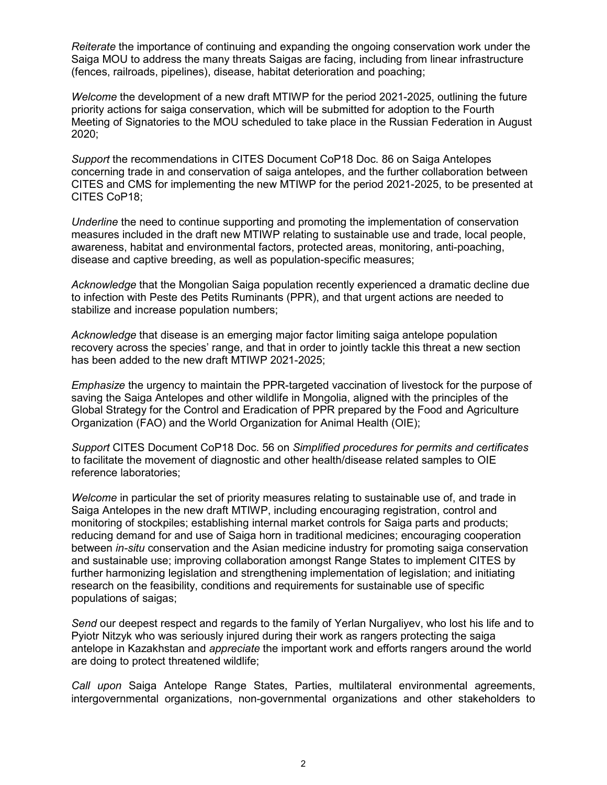*Reiterate* the importance of continuing and expanding the ongoing conservation work under the Saiga MOU to address the many threats Saigas are facing, including from linear infrastructure (fences, railroads, pipelines), disease, habitat deterioration and poaching;

*Welcome* the development of a new draft MTIWP for the period 2021-2025, outlining the future priority actions for saiga conservation, which will be submitted for adoption to the Fourth Meeting of Signatories to the MOU scheduled to take place in the Russian Federation in August 2020;

*Support* the recommendations in CITES Document CoP18 Doc. 86 on Saiga Antelopes concerning trade in and conservation of saiga antelopes, and the further collaboration between CITES and CMS for implementing the new MTIWP for the period 2021-2025, to be presented at CITES CoP18;

*Underline* the need to continue supporting and promoting the implementation of conservation measures included in the draft new MTIWP relating to sustainable use and trade, local people, awareness, habitat and environmental factors, protected areas, monitoring, anti-poaching, disease and captive breeding, as well as population-specific measures;

*Acknowledge* that the Mongolian Saiga population recently experienced a dramatic decline due to infection with Peste des Petits Ruminants (PPR), and that urgent actions are needed to stabilize and increase population numbers;

*Acknowledge* that disease is an emerging major factor limiting saiga antelope population recovery across the species' range, and that in order to jointly tackle this threat a new section has been added to the new draft MTIWP 2021-2025;

*Emphasize* the urgency to maintain the PPR-targeted vaccination of livestock for the purpose of saving the Saiga Antelopes and other wildlife in Mongolia, aligned with the principles of the Global Strategy for the Control and Eradication of PPR prepared by the Food and Agriculture Organization (FAO) and the World Organization for Animal Health (OIE);

*Support* CITES Document CoP18 Doc. 56 on *Simplified procedures for permits and certificates* to facilitate the movement of diagnostic and other health/disease related samples to OIE reference laboratories;

*Welcome* in particular the set of priority measures relating to sustainable use of, and trade in Saiga Antelopes in the new draft MTIWP, including encouraging registration, control and monitoring of stockpiles; establishing internal market controls for Saiga parts and products; reducing demand for and use of Saiga horn in traditional medicines; encouraging cooperation between *in-situ* conservation and the Asian medicine industry for promoting saiga conservation and sustainable use; improving collaboration amongst Range States to implement CITES by further harmonizing legislation and strengthening implementation of legislation; and initiating research on the feasibility, conditions and requirements for sustainable use of specific populations of saigas;

*Send* our deepest respect and regards to the family of Yerlan Nurgaliyev, who lost his life and to Pyiotr Nitzyk who was seriously injured during their work as rangers protecting the saiga antelope in Kazakhstan and *appreciate* the important work and efforts rangers around the world are doing to protect threatened wildlife;

*Call upon* Saiga Antelope Range States, Parties, multilateral environmental agreements, intergovernmental organizations, non-governmental organizations and other stakeholders to